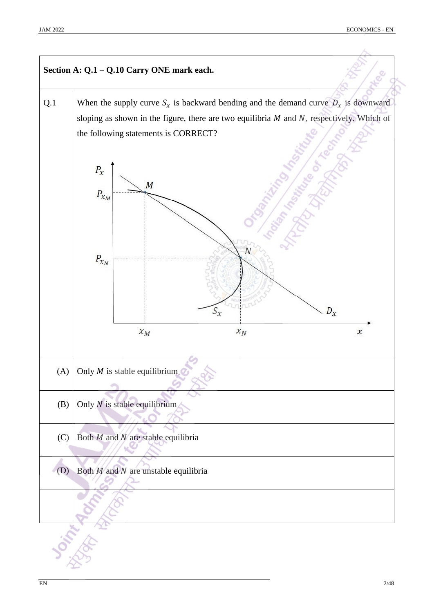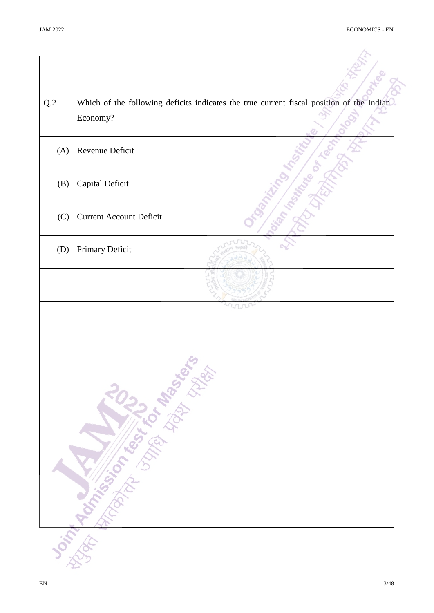| $\mathrm{Q}.2$ | Which of the following deficits indicates the true current fiscal position of the Indian<br>Economy? |
|----------------|------------------------------------------------------------------------------------------------------|
| (A)            | Revenue Deficit                                                                                      |
| (B)            | Capital Deficit                                                                                      |
| (C)            | <b>Current Account Deficit</b>                                                                       |
| (D)            | Primary Deficit                                                                                      |
|                |                                                                                                      |
|                | Dorman Manufacturer River River                                                                      |
|                |                                                                                                      |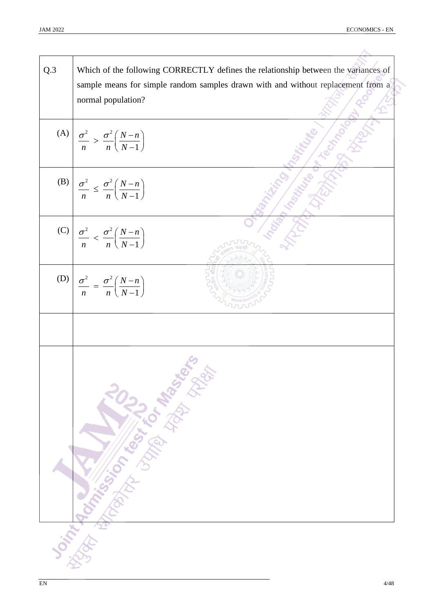Š

| Q.3 | Which of the following CORRECTLY defines the relationship between the variances of<br>sample means for simple random samples drawn with and without replacement from a<br>normal population? |
|-----|----------------------------------------------------------------------------------------------------------------------------------------------------------------------------------------------|
|     |                                                                                                                                                                                              |
|     | (A) $\left  \frac{\sigma^2}{n} > \frac{\sigma^2}{n} \left( \frac{N-n}{N-1} \right) \right $                                                                                                  |
|     | (B) $\left  \frac{\sigma^2}{n} \leq \frac{\sigma^2}{n} \left( \frac{N-n}{N-1} \right) \right $                                                                                               |
|     | (C) $\left  \frac{\sigma^2}{n} < \frac{\sigma^2}{n} \left( \frac{N-n}{N-1} \right) \right $                                                                                                  |
|     | (D) $\left  \frac{\sigma^2}{n} \right  = \frac{\sigma^2}{n} \left( \frac{N-n}{N-1} \right)$                                                                                                  |
|     |                                                                                                                                                                                              |
|     | Joseph Rock of Marian Library River                                                                                                                                                          |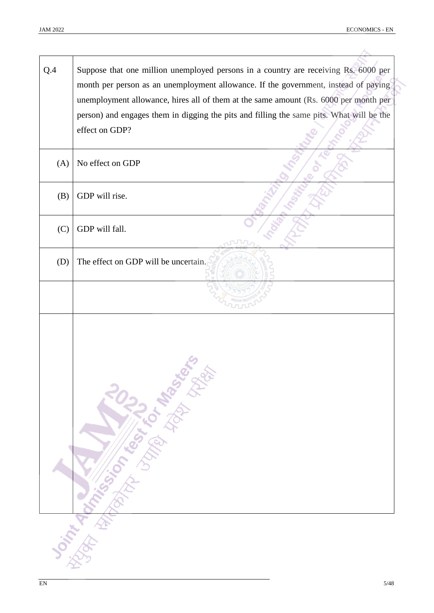| Q.4 | Suppose that one million unemployed persons in a country are receiving Rs. 6000 per<br>month per person as an unemployment allowance. If the government, instead of paying       |
|-----|----------------------------------------------------------------------------------------------------------------------------------------------------------------------------------|
|     | unemployment allowance, hires all of them at the same amount (Rs. 6000 per month per<br>person) and engages them in digging the pits and filling the same pits. What will be the |
|     | effect on GDP?                                                                                                                                                                   |
| (A) | No effect on GDP                                                                                                                                                                 |
| (B) | GDP will rise.                                                                                                                                                                   |
| (C) | GDP will fall.                                                                                                                                                                   |
| (D) | The effect on GDP will be uncertain.                                                                                                                                             |
|     |                                                                                                                                                                                  |
|     |                                                                                                                                                                                  |
|     | <b>Don't Kingdom Completed Bandy Sciences</b>                                                                                                                                    |
|     |                                                                                                                                                                                  |
|     |                                                                                                                                                                                  |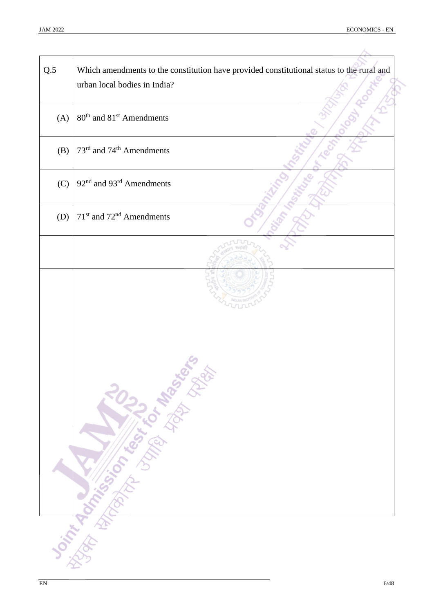| Q.5 | Which amendments to the constitution have provided constitutional status to the rural and<br>urban local bodies in India? |
|-----|---------------------------------------------------------------------------------------------------------------------------|
| (A) | 80 <sup>th</sup> and 81 <sup>st</sup> Amendments                                                                          |
| (B) | 73 <sup>rd</sup> and 74 <sup>th</sup> Amendments                                                                          |
| (C) | 92 <sup>nd</sup> and 93 <sup>rd</sup> Amendments                                                                          |
| (D) | 71 <sup>st</sup> and 72 <sup>nd</sup> Amendments                                                                          |
|     |                                                                                                                           |
|     | Joint Marian Library 103 Marshall                                                                                         |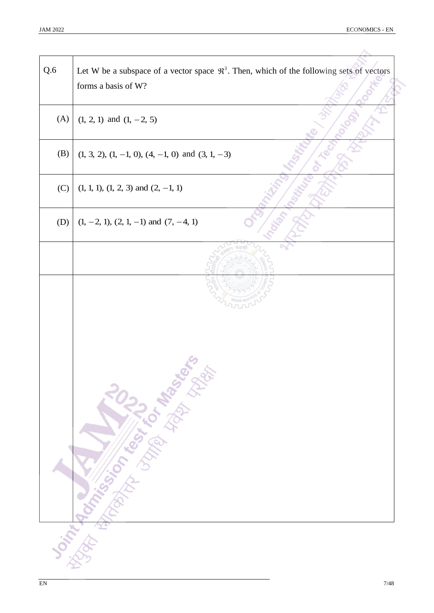| Q.6 | Let W be a subspace of a vector space $\mathfrak{R}^3$ . Then, which of the following sets of vectors<br>forms a basis of W? |
|-----|------------------------------------------------------------------------------------------------------------------------------|
| (A) | $(1, 2, 1)$ and $(1, -2, 5)$                                                                                                 |
| (B) | $(1, 3, 2), (1, -1, 0), (4, -1, 0)$ and $(3, 1, -3)$                                                                         |
| (C) | $(1, 1, 1), (1, 2, 3)$ and $(2, -1, 1)$                                                                                      |
| (D) | $(1, -2, 1), (2, 1, -1)$ and $(7, -4, 1)$                                                                                    |
|     |                                                                                                                              |
|     | <b>Joint Management of the Contract of Base</b> of the                                                                       |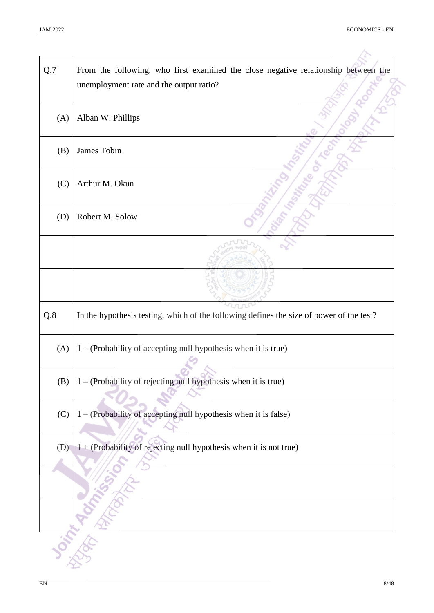Î,

| Q.7 | From the following, who first examined the close negative relationship between the<br>unemployment rate and the output ratio? |
|-----|-------------------------------------------------------------------------------------------------------------------------------|
| (A) | Alban W. Phillips                                                                                                             |
| (B) | James Tobin                                                                                                                   |
| (C) | Arthur M. Okun                                                                                                                |
| (D) | Robert M. Solow                                                                                                               |
|     |                                                                                                                               |
|     |                                                                                                                               |
| Q.8 | In the hypothesis testing, which of the following defines the size of power of the test?                                      |
| (A) | 1 - (Probability of accepting null hypothesis when it is true)                                                                |
| (B) | 1 - (Probability of rejecting null hypothesis when it is true)                                                                |
| (C) | 1 - (Probability of accepting null hypothesis when it is false)                                                               |
| (D) | 1 + (Probability of rejecting null hypothesis when it is not true)                                                            |
|     |                                                                                                                               |
|     |                                                                                                                               |
|     |                                                                                                                               |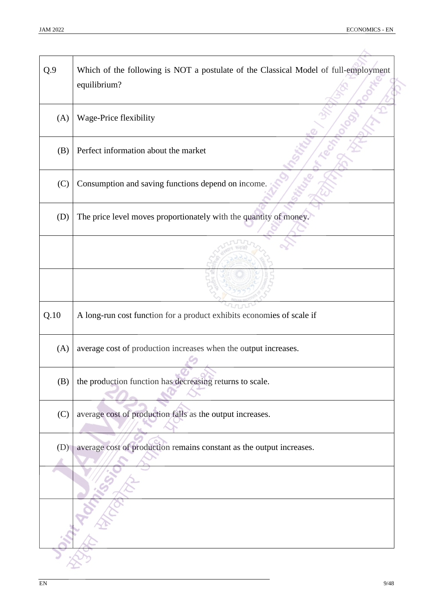| Q.9  | Which of the following is NOT a postulate of the Classical Model of full-employment<br>equilibrium? |
|------|-----------------------------------------------------------------------------------------------------|
| (A)  | Wage-Price flexibility                                                                              |
| (B)  | Perfect information about the market                                                                |
| (C)  | Consumption and saving functions depend on income.                                                  |
| (D)  | The price level moves proportionately with the quantity of money.                                   |
|      |                                                                                                     |
|      |                                                                                                     |
| Q.10 | A long-run cost function for a product exhibits economies of scale if                               |
| (A)  | average cost of production increases when the output increases.                                     |
| (B)  | the production function has decreasing returns to scale.                                            |
| (C)  | average cost of production falls as the output increases.                                           |
| (D)  | average cost of production remains constant as the output increases.                                |
|      |                                                                                                     |
|      |                                                                                                     |
|      |                                                                                                     |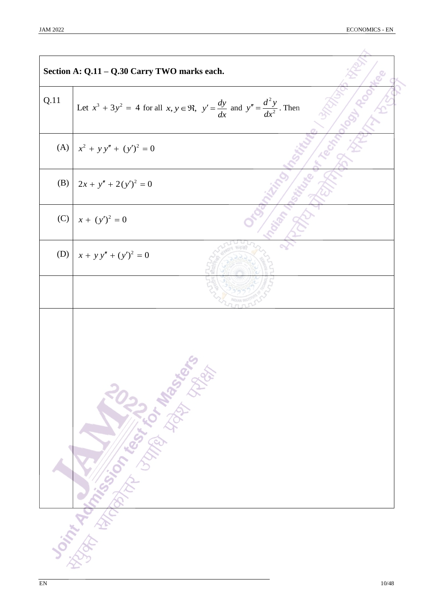|      | Section A: Q.11 - Q.30 Carry TWO marks each.                                                                                                                                                                                         |
|------|--------------------------------------------------------------------------------------------------------------------------------------------------------------------------------------------------------------------------------------|
| Q.11 | Let $x^3 + 3y^2 = 4$ for all $x, y \in \mathfrak{R}$ , $y' = \frac{dy}{dx}$ and $y'' = \frac{d^2y}{dx^2}$ . Then                                                                                                                     |
|      | (A) $x^2 + y y'' + (y')^2 = 0$                                                                                                                                                                                                       |
| (B)  | $2x + y'' + 2(y')^{2} = 0$                                                                                                                                                                                                           |
| (C)  | $x + (y')^2 = 0$                                                                                                                                                                                                                     |
| (D)  | $x + y y'' + (y')^{2} = 0$                                                                                                                                                                                                           |
|      |                                                                                                                                                                                                                                      |
|      | <b>Scintification of the light of the first control of the control of the control of the control of the control of the control of the control of the control of the control of the control of the control of the control of the </b> |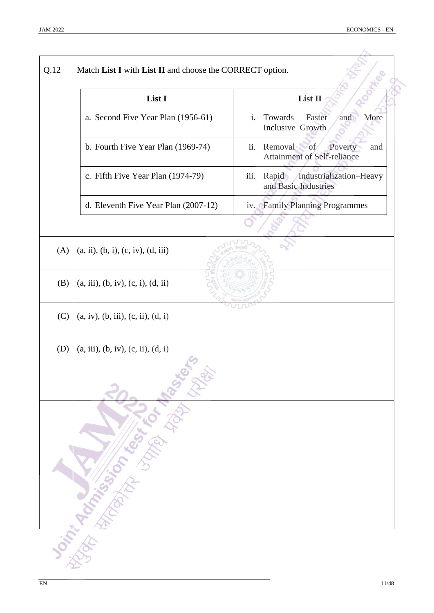| List I                               | List II                                                                                                                 |
|--------------------------------------|-------------------------------------------------------------------------------------------------------------------------|
| a. Second Five Year Plan (1956-61)   | Towards<br>Faster<br>i.<br>More<br>and<br>Inclusive Growth                                                              |
| b. Fourth Five Year Plan (1969-74)   | ii. Removal of<br>Poverty<br>and<br><b>Attainment of Self-reliance</b>                                                  |
| c. Fifth Five Year Plan (1974-79)    | Rapid Industrialization-Heavy<br>iii.<br>and Basic Industries                                                           |
| d. Eleventh Five Year Plan (2007-12) | iv. Family Planning Programmes                                                                                          |
|                                      |                                                                                                                         |
| (a, ii), (b, i), (c, iv), (d, iii)   |                                                                                                                         |
| (a, iii), (b, iv), (c, i), (d, ii)   |                                                                                                                         |
| (a, iv), (b, iii), (c, ii), (d, i)   |                                                                                                                         |
| (a, iii), (b, iv), (c, ii), (d, i)   |                                                                                                                         |
|                                      |                                                                                                                         |
|                                      |                                                                                                                         |
|                                      |                                                                                                                         |
|                                      | <b>Doint Romance Communications of the School School and Communications of the Communications of the Communications</b> |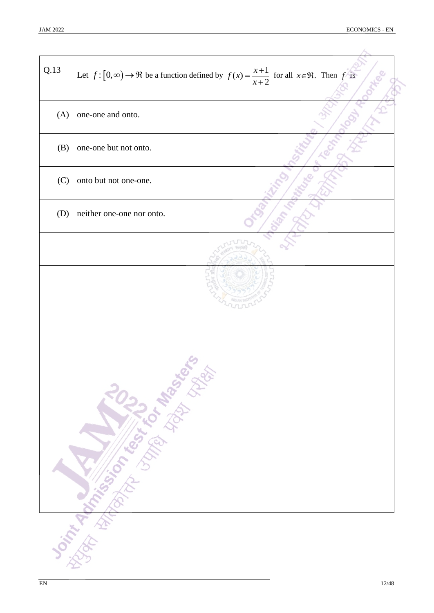| Q.13 | Let $f: [0, \infty) \to \Re$ be a function defined by $f(x) = \frac{x+1}{x+2}$ for all $x \in \Re$ . Then f is |
|------|----------------------------------------------------------------------------------------------------------------|
| (A)  | one-one and onto.                                                                                              |
| (B)  | one-one but not onto.                                                                                          |
| (C)  | onto but not one-one.                                                                                          |
| (D)  | neither one-one nor onto.                                                                                      |
|      |                                                                                                                |
|      | Oriting Manufacturer 1102 av Manufacturer                                                                      |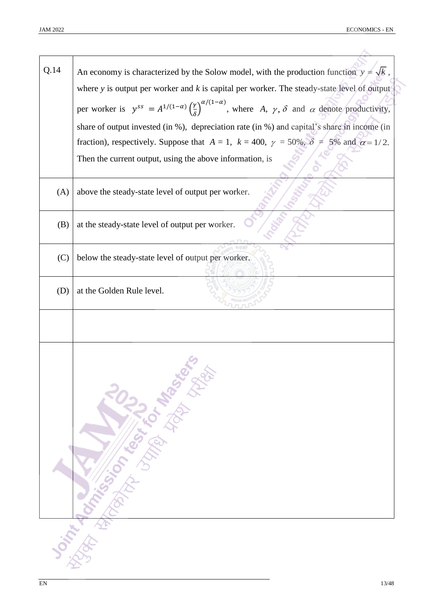| Q.14 | An economy is characterized by the Solow model, with the production function $y = \sqrt{k}$ ,                                                                     |
|------|-------------------------------------------------------------------------------------------------------------------------------------------------------------------|
|      | where $y$ is output per worker and $k$ is capital per worker. The steady-state level of output                                                                    |
|      | per worker is $y^{ss} = A^{1/(1-\alpha)} \left(\frac{\gamma}{\delta}\right)^{\alpha/(1-\alpha)}$ , where A, $\gamma$ , $\delta$ and $\alpha$ denote productivity, |
|      | share of output invested (in %), depreciation rate (in %) and capital's share in income (in                                                                       |
|      | fraction), respectively. Suppose that $A = 1$ , $k = 400$ , $\gamma = 50\%$ , $\delta = 5\%$ and $\alpha = 1/2$ .                                                 |
|      | Then the current output, using the above information, is                                                                                                          |
| (A)  | above the steady-state level of output per worker.                                                                                                                |
| (B)  | at the steady-state level of output per worker.                                                                                                                   |
| (C)  | below the steady-state level of output per worker.                                                                                                                |
| (D)  | at the Golden Rule level.                                                                                                                                         |
|      |                                                                                                                                                                   |
|      | Joint designations in the base of the base of                                                                                                                     |
|      |                                                                                                                                                                   |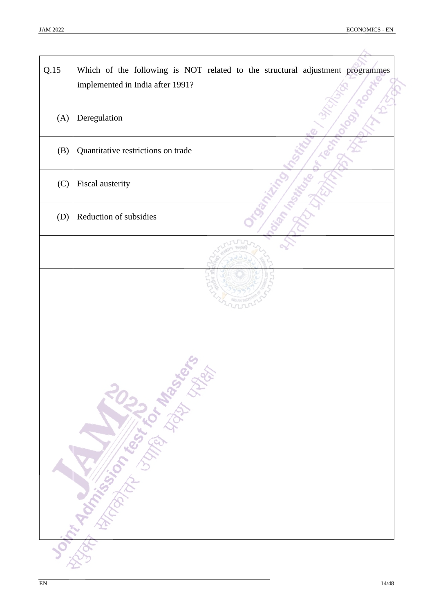| Q.15 | Which of the following is NOT related to the structural adjustment programmes<br>implemented in India after 1991? |
|------|-------------------------------------------------------------------------------------------------------------------|
| (A)  | Deregulation                                                                                                      |
| (B)  | Quantitative restrictions on trade                                                                                |
| (C)  | Fiscal austerity                                                                                                  |
| (D)  | Reduction of subsidies                                                                                            |
|      |                                                                                                                   |
|      | Joseph Marian Library River River                                                                                 |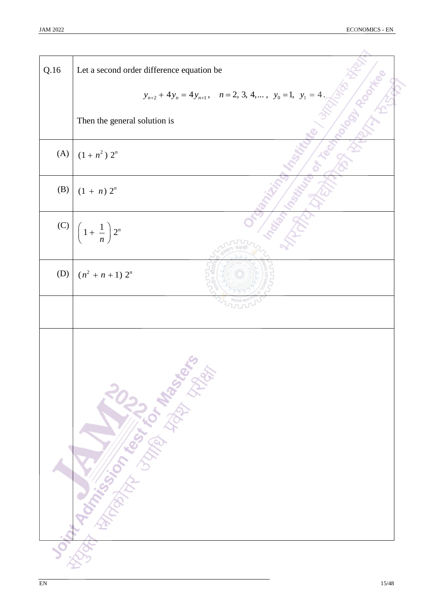| Q.16 | Let a second order difference equation be                              |
|------|------------------------------------------------------------------------|
|      | $y_{n+2} + 4y_n = 4y_{n+1}$ , $n = 2, 3, 4,$ , $y_0 = 1$ , $y_1 = 4$ . |
|      | Then the general solution is                                           |
| (A)  | $(1+n^2) 2^n$                                                          |
| (B)  | $(1 + n) 2^n$                                                          |
| (C)  | $\left(1+\frac{1}{n}\right)2^n$                                        |
| (D)  | $(n^2 + n + 1) 2^n$                                                    |
|      |                                                                        |
|      | Joseph Rock Concert Manufacture of the Science                         |
|      |                                                                        |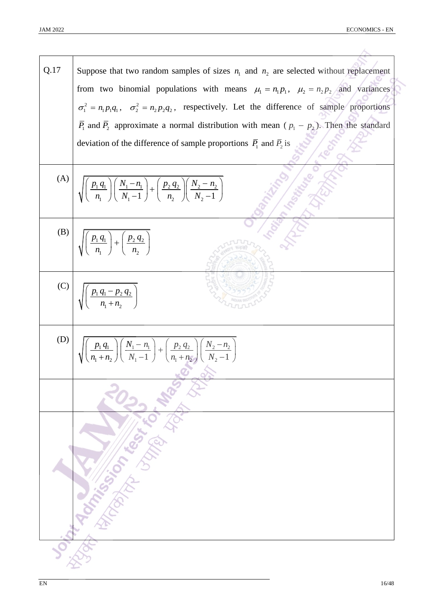| Q.17 | Suppose that two random samples of sizes $n_1$ and $n_2$ are selected without replacement                                                                |
|------|----------------------------------------------------------------------------------------------------------------------------------------------------------|
|      | from two binomial populations with means $\mu_1 = n_1 p_1$ , $\mu_2 = n_2 p_2$ and variances                                                             |
|      | $\sigma_1^2 = n_1 p_1 q_1$ , $\sigma_2^2 = n_2 p_2 q_2$ , respectively. Let the difference of sample proportions                                         |
|      | $\overline{P}_1$ and $\overline{P}_2$ approximate a normal distribution with mean ( $p_1 - p_2$ ). Then the standard                                     |
|      | deviation of the difference of sample proportions $\overline{P}_1$ and $\overline{P}_2$ is                                                               |
| (A)  | $\sqrt{\left(\frac{p_1 q_1}{n_1}\right)\left(\frac{N_1-n_1}{N_1-1}\right)} + \left(\frac{p_2 q_2}{n_2}\right)\left(\frac{N_2-n_2}{N_2-1}\right)$         |
| (B)  | $\sqrt{\left(\frac{p_1 q_1}{n_1}\right)+\left(\frac{p_2 q_2}{n_2}\right)}$                                                                               |
| (C)  | $\left(\frac{p_1 q_1 - p_2 q_2}{n + n}\right)$                                                                                                           |
| (D)  | $\sqrt{\left(\frac{p_1 q_1}{n_1+n_2}\right)\left(\frac{N_1-n_1}{N_1-1}\right)} + \left(\frac{p_2 q_2}{n_1+n_2}\right)\left(\frac{N_2-n_2}{N_2-1}\right)$ |
|      |                                                                                                                                                          |
|      |                                                                                                                                                          |
|      |                                                                                                                                                          |
|      | <b>South Marines Communication of the Communication of the Communication of the Communication of the Communication</b>                                   |
|      |                                                                                                                                                          |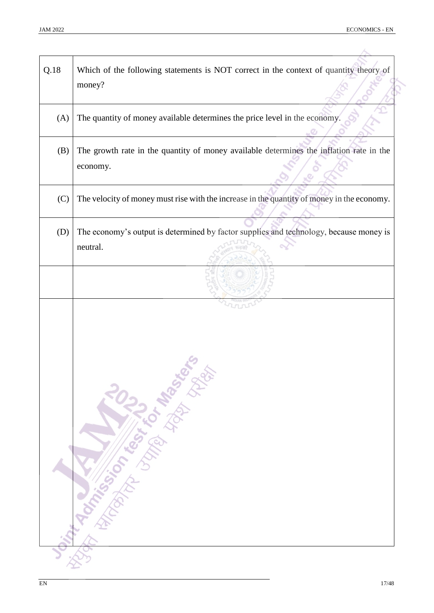| Q.18 | Which of the following statements is NOT correct in the context of quantity theory of<br>money?     |
|------|-----------------------------------------------------------------------------------------------------|
| (A)  | The quantity of money available determines the price level in the economy.                          |
| (B)  | The growth rate in the quantity of money available determines the inflation rate in the<br>economy. |
| (C)  | The velocity of money must rise with the increase in the quantity of money in the economy.          |
| (D)  | The economy's output is determined by factor supplies and technology, because money is<br>neutral.  |
|      |                                                                                                     |
|      | <b>Delivery Manufacturer Manufacturer Report</b>                                                    |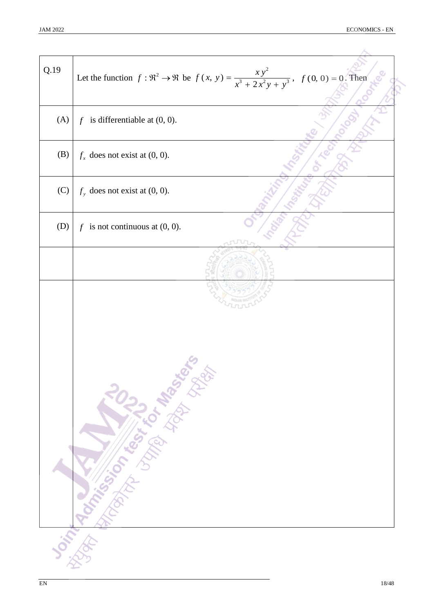| Q.19 | Let the function $f: \Re^2 \to \Re$ be $f(x, y) = \frac{xy^2}{x^3 + 2x^2y + y^3}$ , $f(0, 0) = 0$ . Then |
|------|----------------------------------------------------------------------------------------------------------|
| (A)  | $f$ is differentiable at $(0, 0)$ .                                                                      |
| (B)  | $f_x$ does not exist at (0, 0).                                                                          |
| (C)  | $f_{y}$ does not exist at (0, 0).                                                                        |
| (D)  | $f$ is not continuous at $(0, 0)$ .                                                                      |
|      |                                                                                                          |
|      | Orintage Straite Library Residents                                                                       |
|      |                                                                                                          |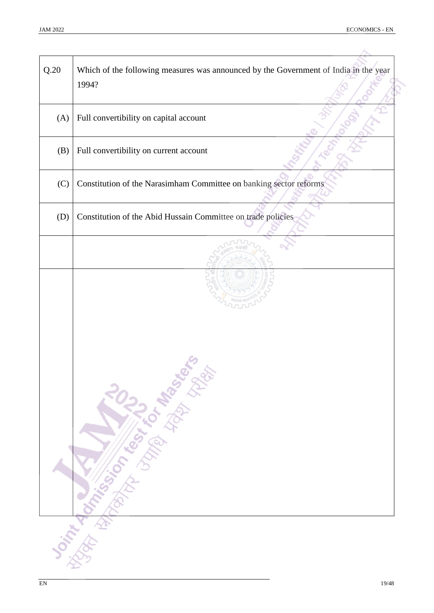| Q.20 | Which of the following measures was announced by the Government of India in the year<br>1994?                  |  |  |  |  |
|------|----------------------------------------------------------------------------------------------------------------|--|--|--|--|
| (A)  | Full convertibility on capital account                                                                         |  |  |  |  |
| (B)  | Full convertibility on current account                                                                         |  |  |  |  |
| (C)  | Constitution of the Narasimham Committee on banking sector reforms                                             |  |  |  |  |
| (D)  | Constitution of the Abid Hussain Committee on trade policies                                                   |  |  |  |  |
|      |                                                                                                                |  |  |  |  |
|      | Joint de Chassister de la Chassister de la Chassister de la Chassister de la Chassister de la Chassister de la |  |  |  |  |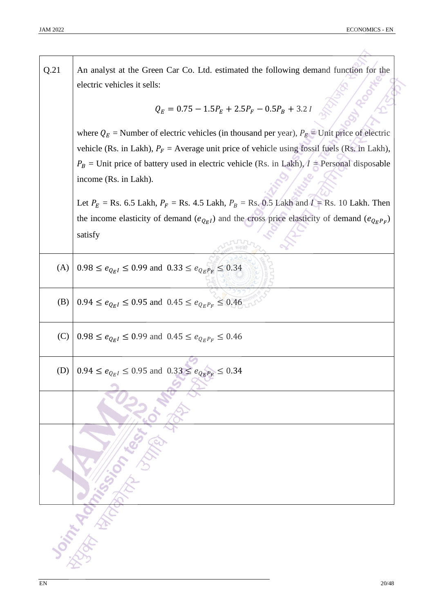| Q.21 | An analyst at the Green Car Co. Ltd. estimated the following demand function for the                 |  |  |  |  |  |
|------|------------------------------------------------------------------------------------------------------|--|--|--|--|--|
|      | electric vehicles it sells:                                                                          |  |  |  |  |  |
|      | $Q_E = 0.75 - 1.5P_E + 2.5P_F - 0.5P_B + 3.2 I$                                                      |  |  |  |  |  |
|      | where $Q_E$ = Number of electric vehicles (in thousand per year), $P_E$ = Unit price of electric     |  |  |  |  |  |
|      | vehicle (Rs. in Lakh), $P_F$ = Average unit price of vehicle using fossil fuels (Rs. in Lakh),       |  |  |  |  |  |
|      | $P_B$ = Unit price of battery used in electric vehicle (Rs. in Lakh), $I$ = Personal disposable      |  |  |  |  |  |
|      | income (Rs. in Lakh).                                                                                |  |  |  |  |  |
|      | Let $P_E$ = Rs. 6.5 Lakh, $P_F$ = Rs. 4.5 Lakh, $P_B$ = Rs. 0.5 Lakh and $I$ = Rs. 10 Lakh. Then     |  |  |  |  |  |
|      | the income elasticity of demand $(e_{Q_EI})$ and the cross price elasticity of demand $(e_{Q_EP_F})$ |  |  |  |  |  |
|      | satisfy                                                                                              |  |  |  |  |  |
| (A)  | $0.98 \le e_{Q_E I} \le 0.99$ and $0.33 \le e_{Q_E P_F} \le 0.34$                                    |  |  |  |  |  |
| (B)  | $0.94 \le e_{Q_E I} \le 0.95$ and $0.45 \le e_{Q_E P_F} \le 0.46$                                    |  |  |  |  |  |
| (C)  | $0.98 \le e_{Q_E I} \le 0.99$ and $0.45 \le e_{Q_E P_F} \le 0.46$                                    |  |  |  |  |  |
| (D)  | $0.94 \le e_{Q_E I} \le 0.95$ and $0.33 \le e_{Q_E P_E} \le 0.34$                                    |  |  |  |  |  |
|      |                                                                                                      |  |  |  |  |  |
|      | Somme Montgome Register                                                                              |  |  |  |  |  |
|      |                                                                                                      |  |  |  |  |  |
|      |                                                                                                      |  |  |  |  |  |
|      |                                                                                                      |  |  |  |  |  |
|      |                                                                                                      |  |  |  |  |  |
|      |                                                                                                      |  |  |  |  |  |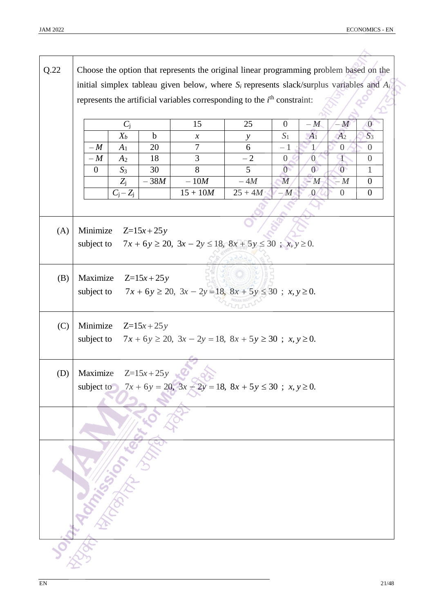| Q.22 | Choose the option that represents the original linear programming problem based on the        |                |             |                                                                         |                |                |                |                |                  |
|------|-----------------------------------------------------------------------------------------------|----------------|-------------|-------------------------------------------------------------------------|----------------|----------------|----------------|----------------|------------------|
|      | initial simplex tableau given below, where $S_i$ represents slack/surplus variables and $A_i$ |                |             |                                                                         |                |                |                |                |                  |
|      |                                                                                               |                |             |                                                                         |                |                |                |                |                  |
|      | represents the artificial variables corresponding to the $ith$ constraint:                    |                |             |                                                                         |                |                |                |                |                  |
|      |                                                                                               | $C_{\rm j}$    |             | 15                                                                      | 25             | $\overline{0}$ | $-M$           | M              | $\overline{0}$   |
|      |                                                                                               | $X_b$          | $\mathbf b$ | $\mathcal{X}$                                                           | у              | $S_1$          | $A_1$          | A <sub>2</sub> | $S_3$            |
|      | $-M$                                                                                          | A <sub>1</sub> | 20          | $\tau$                                                                  | 6              | $-1$           | 1.             | $\theta$       | $\overline{0}$   |
|      | $-M$                                                                                          | A <sub>2</sub> | 18          | 3                                                                       | $-2$           | $\overline{0}$ | $\overline{0}$ | Ŧ              | $\overline{0}$   |
|      | $\overline{0}$                                                                                | $S_3$          | 30          | 8                                                                       | 5 <sup>5</sup> | $\overline{0}$ | $\overline{0}$ | $\overline{0}$ | $\mathbf{1}$     |
|      |                                                                                               | $Z_{j}$        | $-38M$      | $-10M$                                                                  | $-4M$          | M              | $-M$           | - M            | $\boldsymbol{0}$ |
|      |                                                                                               | $C_j-Z_j$      |             | $15 + 10M$                                                              | $25 + 4M$      | $-M$           | $\overline{0}$ | $\overline{0}$ | $\boldsymbol{0}$ |
|      |                                                                                               |                |             |                                                                         |                |                |                |                |                  |
|      |                                                                                               |                |             |                                                                         |                |                |                |                |                  |
| (A)  | Minimize                                                                                      |                | $Z=15x+25y$ |                                                                         |                |                |                |                |                  |
|      | subject to                                                                                    |                |             | $7x + 6y \ge 20$ , $3x - 2y \le 18$ , $8x + 5y \le 30$ ; $x, y \ge 0$ . |                |                |                |                |                  |
|      |                                                                                               |                |             |                                                                         |                |                |                |                |                  |
|      |                                                                                               |                |             |                                                                         |                |                |                |                |                  |
| (B)  | Maximize                                                                                      |                | $Z=15x+25y$ |                                                                         |                |                |                |                |                  |
|      | subject to                                                                                    |                |             | $7x + 6y \ge 20$ , $3x - 2y = 18$ , $8x + 5y \le 30$ ; $x, y \ge 0$ .   |                |                |                |                |                  |
|      |                                                                                               |                |             |                                                                         |                |                |                |                |                  |
|      |                                                                                               |                |             |                                                                         |                |                |                |                |                  |
| (C)  | Minimize<br>$Z=15x+25y$                                                                       |                |             |                                                                         |                |                |                |                |                  |
|      | subject to<br>$7x + 6y \ge 20$ , $3x - 2y = 18$ , $8x + 5y \ge 30$ ; $x, y \ge 0$ .           |                |             |                                                                         |                |                |                |                |                  |
|      |                                                                                               |                |             |                                                                         |                |                |                |                |                  |
| (D)  | $Z=15x+25y$<br>Maximize                                                                       |                |             |                                                                         |                |                |                |                |                  |
|      | $7x + 6y = 20$ , $3x - 2y = 18$ , $8x + 5y \le 30$ ; $x, y \ge 0$ .<br>subject to             |                |             |                                                                         |                |                |                |                |                  |
|      |                                                                                               |                |             |                                                                         |                |                |                |                |                  |
|      |                                                                                               |                |             |                                                                         |                |                |                |                |                  |
|      |                                                                                               |                |             |                                                                         |                |                |                |                |                  |
|      |                                                                                               |                |             |                                                                         |                |                |                |                |                  |
|      |                                                                                               |                |             |                                                                         |                |                |                |                |                  |
|      |                                                                                               |                |             |                                                                         |                |                |                |                |                  |
|      |                                                                                               |                |             |                                                                         |                |                |                |                |                  |
|      |                                                                                               |                |             |                                                                         |                |                |                |                |                  |
|      |                                                                                               |                |             |                                                                         |                |                |                |                |                  |
|      |                                                                                               |                |             |                                                                         |                |                |                |                |                  |
|      |                                                                                               |                |             |                                                                         |                |                |                |                |                  |
|      |                                                                                               |                |             |                                                                         |                |                |                |                |                  |
|      |                                                                                               |                |             |                                                                         |                |                |                |                |                  |
|      |                                                                                               |                |             |                                                                         |                |                |                |                |                  |
|      |                                                                                               |                |             |                                                                         |                |                |                |                |                  |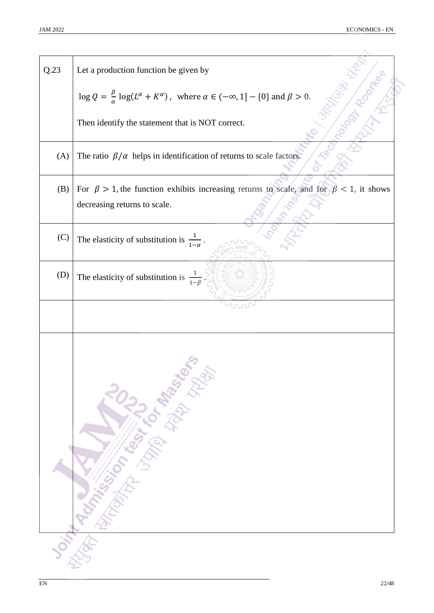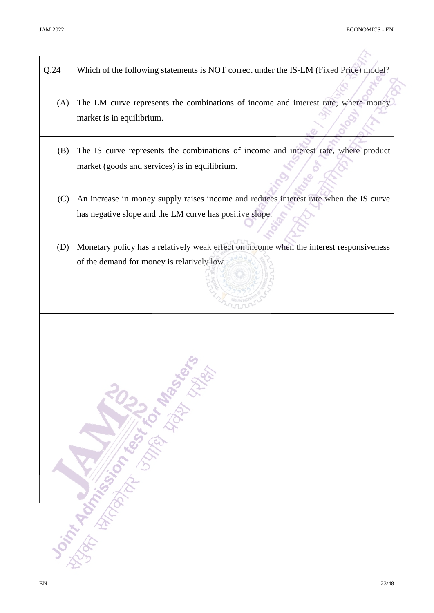| Q.24 | Which of the following statements is NOT correct under the IS-LM (Fixed Price) model?                                                            |
|------|--------------------------------------------------------------------------------------------------------------------------------------------------|
| (A)  | The LM curve represents the combinations of income and interest rate, where money<br>market is in equilibrium.                                   |
| (B)  | The IS curve represents the combinations of income and interest rate, where product<br>market (goods and services) is in equilibrium.            |
| (C)  | An increase in money supply raises income and reduces interest rate when the IS curve<br>has negative slope and the LM curve has positive slope. |
| (D)  | Monetary policy has a relatively weak effect on income when the interest responsiveness<br>of the demand for money is relatively low.            |
|      |                                                                                                                                                  |
|      | Joint Manufacturer Contractor Report                                                                                                             |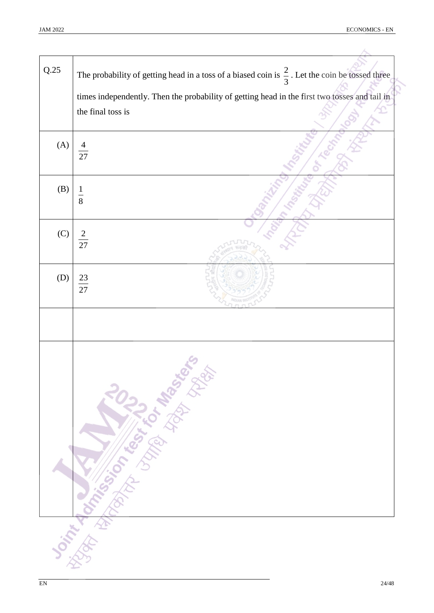ó

| Q.25 | The probability of getting head in a toss of a biased coin is $\frac{2}{3}$ . Let the coin be tossed three         |
|------|--------------------------------------------------------------------------------------------------------------------|
|      | times independently. Then the probability of getting head in the first two tosses and tail in<br>the final toss is |
| (A)  | 27                                                                                                                 |
| (B)  | $\frac{1}{8}$                                                                                                      |
| (C)  | $\overline{c}$<br>$\overline{27}$                                                                                  |
| (D)  | 23<br>27                                                                                                           |
|      |                                                                                                                    |
|      | Joint Honda Children 1022 Management                                                                               |
|      |                                                                                                                    |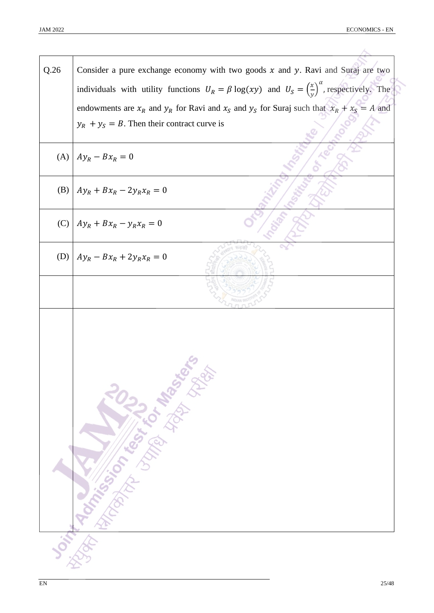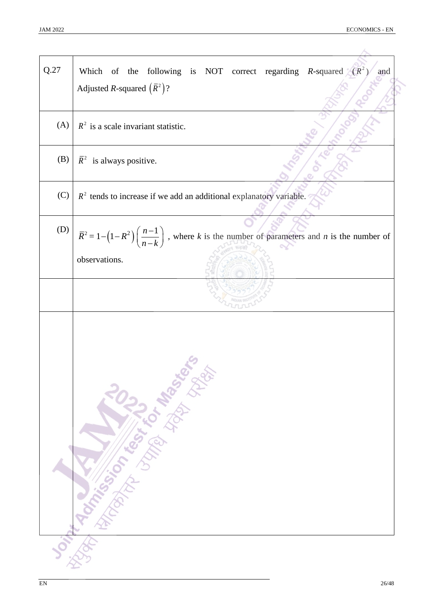| Q.27 | Which of the following is NOT correct regarding R-squared $(R^2)$<br>and<br>Adjusted <i>R</i> -squared $(\bar{R}^2)?$        |
|------|------------------------------------------------------------------------------------------------------------------------------|
| (A)  | $R2$ is a scale invariant statistic.                                                                                         |
| (B)  | $\overline{R}^2$ is always positive.                                                                                         |
| (C)  | $R2$ tends to increase if we add an additional explanatory variable.                                                         |
| (D)  | $\overline{R}^2 = 1 - (1 - R^2) \left( \frac{n-1}{n-k} \right)$ , where k is the number of parameters and n is the number of |
|      | observations.                                                                                                                |
|      |                                                                                                                              |
|      |                                                                                                                              |
|      | <b>Don't Manufacturer Manufacturer River River River River River River River River River River River River River</b>         |
|      |                                                                                                                              |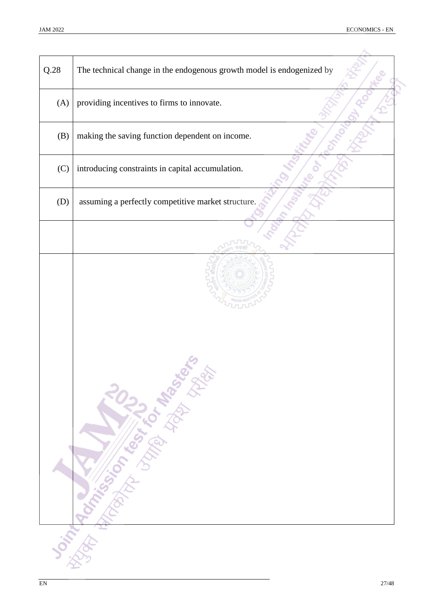| Q.28 | The technical change in the endogenous growth model is endogenized by                                                  |
|------|------------------------------------------------------------------------------------------------------------------------|
| (A)  | providing incentives to firms to innovate.                                                                             |
| (B)  | making the saving function dependent on income.                                                                        |
| (C)  | introducing constraints in capital accumulation.                                                                       |
| (D)  | assuming a perfectly competitive market structure.                                                                     |
|      |                                                                                                                        |
|      | <b>Donne de Marie de la Grande de la Grande de la Grande de la Grande de la Grande de la Grande de la Grande de la</b> |
|      |                                                                                                                        |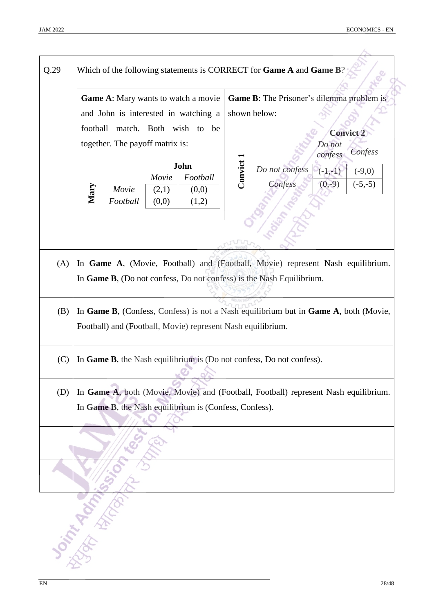| Q.29 | Which of the following statements is CORRECT for Game A and Game B?  |                                                                                     |  |  |  |  |  |
|------|----------------------------------------------------------------------|-------------------------------------------------------------------------------------|--|--|--|--|--|
|      | <b>Game A:</b> Mary wants to watch a movie                           | <b>Game B:</b> The Prisoner's dilemma problem is                                    |  |  |  |  |  |
|      | and John is interested in watching a                                 | shown below:                                                                        |  |  |  |  |  |
|      | football match. Both wish to be                                      | <b>Convict 2</b>                                                                    |  |  |  |  |  |
|      | together. The payoff matrix is:                                      | Do not<br>Confess<br>confess                                                        |  |  |  |  |  |
|      |                                                                      |                                                                                     |  |  |  |  |  |
|      | John<br>Movie<br>Football                                            | Convict 1<br>Do not confess<br>$(-1,-1)$<br>$(-9,0)$                                |  |  |  |  |  |
|      | Mary<br>(0,0)<br>Movie<br>(2,1)                                      | Confess<br>$(0,-9)$<br>$(-5,-5)$                                                    |  |  |  |  |  |
|      | Football<br>(0,0)<br>(1,2)                                           |                                                                                     |  |  |  |  |  |
|      |                                                                      |                                                                                     |  |  |  |  |  |
|      |                                                                      |                                                                                     |  |  |  |  |  |
| (A)  |                                                                      | In Game A, (Movie, Football) and (Football, Movie) represent Nash equilibrium.      |  |  |  |  |  |
|      | In Game B, (Do not confess, Do not confess) is the Nash Equilibrium. |                                                                                     |  |  |  |  |  |
|      |                                                                      |                                                                                     |  |  |  |  |  |
| (B)  |                                                                      | In Game B, (Confess, Confess) is not a Nash equilibrium but in Game A, both (Movie, |  |  |  |  |  |
|      | Football) and (Football, Movie) represent Nash equilibrium.          |                                                                                     |  |  |  |  |  |
|      |                                                                      |                                                                                     |  |  |  |  |  |
| (C)  | In Game B, the Nash equilibrium is (Do not confess, Do not confess). |                                                                                     |  |  |  |  |  |
|      |                                                                      |                                                                                     |  |  |  |  |  |
| (D)  |                                                                      | In Game A, both (Movie, Movie) and (Football, Football) represent Nash equilibrium. |  |  |  |  |  |
|      | In Game B, the Nash equilibrium is (Confess, Confess).               |                                                                                     |  |  |  |  |  |
|      |                                                                      |                                                                                     |  |  |  |  |  |
|      |                                                                      |                                                                                     |  |  |  |  |  |
|      |                                                                      |                                                                                     |  |  |  |  |  |
|      |                                                                      |                                                                                     |  |  |  |  |  |
|      |                                                                      |                                                                                     |  |  |  |  |  |
|      |                                                                      |                                                                                     |  |  |  |  |  |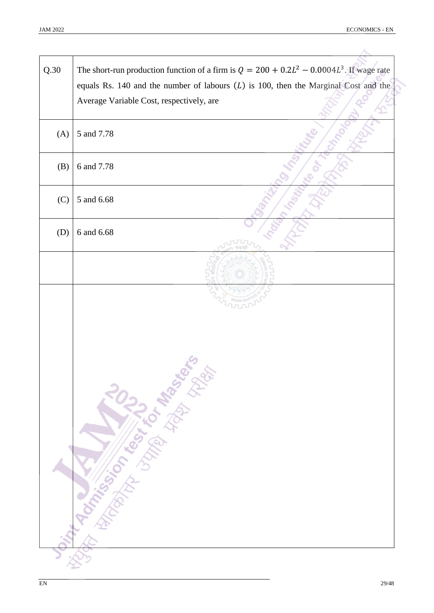| Q.30 | The short-run production function of a firm is $Q = 200 + 0.2L^2 - 0.0004L^3$ . If wage rate                                      |
|------|-----------------------------------------------------------------------------------------------------------------------------------|
|      | equals Rs. 140 and the number of labours $(L)$ is 100, then the Marginal Cost and the<br>Average Variable Cost, respectively, are |
| (A)  | 5 and 7.78                                                                                                                        |
| (B)  | 6 and 7.78                                                                                                                        |
| (C)  | 5 and 6.68                                                                                                                        |
| (D)  | 6 and 6.68                                                                                                                        |
|      |                                                                                                                                   |
|      |                                                                                                                                   |
|      | Ount Monday Control 100 to Ash of Band                                                                                            |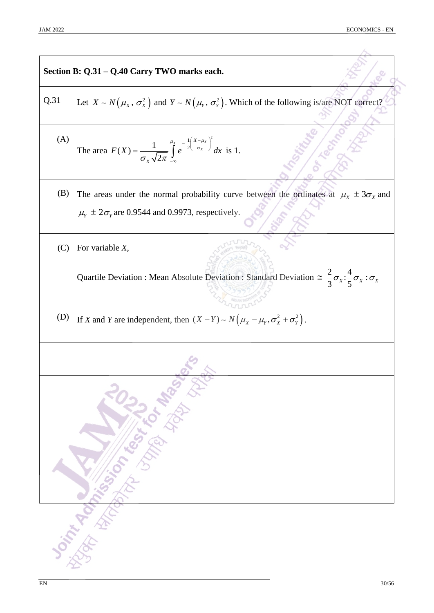|      | Section B: Q.31 - Q.40 Carry TWO marks each.                                                                                                                              |
|------|---------------------------------------------------------------------------------------------------------------------------------------------------------------------------|
| Q.31 | Let $X \sim N(\mu_X, \sigma_X^2)$ and $Y \sim N(\mu_Y, \sigma_Y^2)$ . Which of the following is/are NOT correct?                                                          |
| (A)  | The area $F(X) = \frac{1}{\sigma_X \sqrt{2\pi}} \int_{-\infty}^{\mu_X} e^{-\frac{1}{2} \left( \frac{X - \mu_X}{\sigma_X} \right)^2} dx$ is 1.                             |
| (B)  | The areas under the normal probability curve between the ordinates at $\mu_x \pm 3\sigma_x$ and<br>$\mu_{\rm Y} \pm 2\sigma_{\rm Y}$ are 0.9544 and 0.9973, respectively. |
| (C)  | For variable $X$ ,                                                                                                                                                        |
|      | Quartile Deviation : Mean Absolute Deviation : Standard Deviation $\approx \frac{2}{3}\sigma_x:\frac{4}{5}\sigma_x:\sigma_x$                                              |
| (D)  | If X and Y are independent, then $(X - Y) \sim N(\mu_X - \mu_Y, \sigma_X^2 + \sigma_Y^2)$ .                                                                               |
|      |                                                                                                                                                                           |
|      | <b>Joint Marian Company of Marian Science</b>                                                                                                                             |
|      |                                                                                                                                                                           |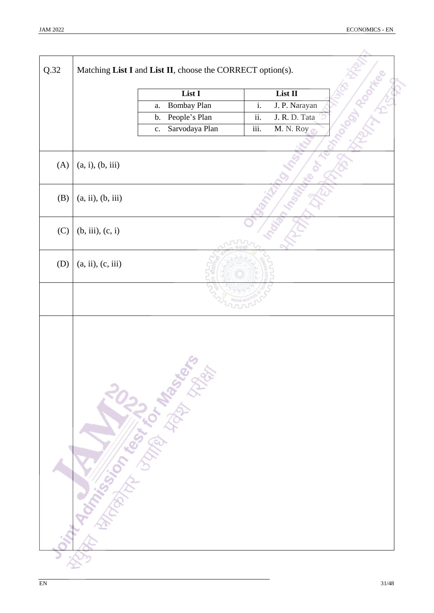| Q.32 |                   | Matching List I and List II, choose the CORRECT option(s). |                                |    |
|------|-------------------|------------------------------------------------------------|--------------------------------|----|
|      |                   | List I                                                     | List II                        |    |
|      |                   | Bombay Plan<br>a.                                          | $\mathrm{i}.$<br>J. P. Narayan | A) |
|      |                   | People's Plan<br>b.                                        | ii.<br>J. R. D. Tata           |    |
|      |                   | Sarvodaya Plan<br>$\mathbf{c}$ .                           | M. N. Roy<br>iii.              |    |
|      |                   |                                                            |                                |    |
| (A)  | (a, i), (b, iii)  |                                                            |                                |    |
| (B)  | (a, ii), (b, iii) |                                                            |                                |    |
| (C)  | (b, iii), (c, i)  |                                                            |                                |    |
| (D)  | (a, ii), (c, iii) |                                                            |                                |    |
|      |                   |                                                            |                                |    |
|      |                   | Our Tarkinson Library Management                           |                                |    |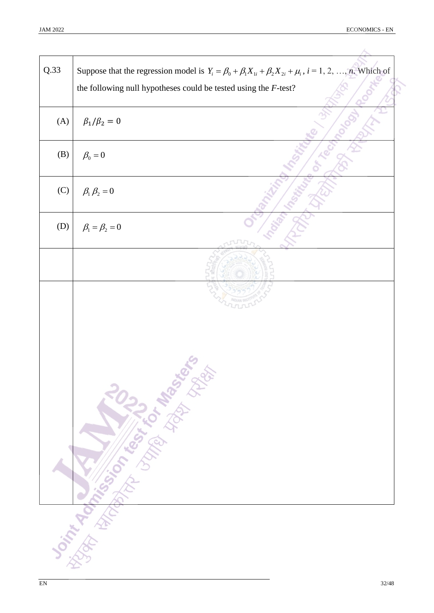| Q.33 | Suppose that the regression model is $Y_i = \beta_0 + \beta_1 X_{1i} + \beta_2 X_{2i} + \mu_i$ , $i = 1, 2, , n$ . Which of |
|------|-----------------------------------------------------------------------------------------------------------------------------|
|      | the following null hypotheses could be tested using the $F$ -test?                                                          |
|      |                                                                                                                             |
| (A)  | $\beta_1/\beta_2=0$                                                                                                         |
| (B)  | $\beta_0=0$                                                                                                                 |
| (C)  | $\beta_1 \beta_2 = 0$                                                                                                       |
| (D)  | $\beta_1 = \beta_2 = 0$                                                                                                     |
|      |                                                                                                                             |
|      |                                                                                                                             |
|      |                                                                                                                             |
|      | Joint Manufacturer Control of Manufacturer                                                                                  |
|      |                                                                                                                             |
|      |                                                                                                                             |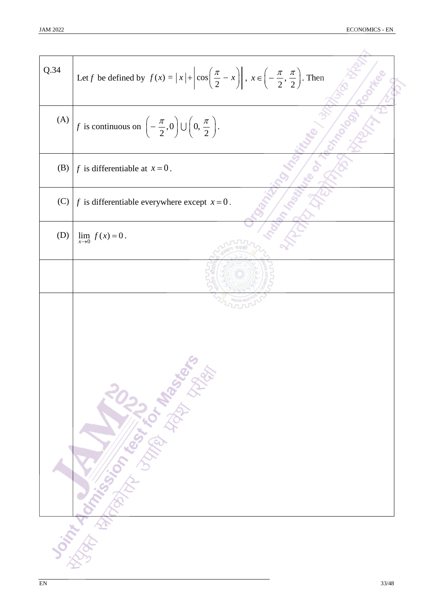$\overline{A}$ 

Q.34 Let f be defined by 
$$
f(x) = |x| + |\cos(\frac{\pi}{2} - x)|
$$
,  $x \in (-\frac{\pi}{2}, \frac{\pi}{2})$ . Then  
\n(A)   
\n $f$  is continuous on  $(-\frac{\pi}{2}, 0) \cup (0, \frac{\pi}{2})$ .  
\n(B)  $f$  is differentiable at  $x = 0$ .  
\n(C)  $f$  is differentiable everywhere except  $x = 0$ .  
\n(D)  $\lim_{x \to 0} f(x) = 0$ .  
\n(D)  $\lim_{x \to 0} f(x) = 0$ .  
\n3.  $f(x) = \frac{1}{2}$ .  
\n3.  $f(x) = \frac{1}{2}$ .  
\n4.  $f(x) = \frac{1}{2}$ .  
\n5.  $f(x) = \frac{1}{2}$ .  
\n6.  $f(x) = \frac{1}{2}$ .  
\n7.  $f(x) = 0$ .  
\n8.  $f(x) = \frac{1}{2}$ .  
\n9.  $f(x) = \frac{1}{2}$ .  
\n10.  $f(x) = 0$ .  
\n11.  $f(x) = 0$ .  
\n12.  $f(x) = \frac{1}{2}$ .  
\n13.  $f(x) = \frac{1}{2}$ .  
\n14.  $f(x) = \frac{1}{2}$ .  
\n15.  $f(x) = \frac{1}{2}$ .  
\n16.  $f(x) = \frac{1}{2}$ .  
\n17.  $f(x) = \frac{1}{2}$ .  
\n18.  $f(x) = \frac{1}{2}$ .  
\n19.  $f(x) = \frac{1}{2}$ .  
\n10.  $f(x) = \frac{1}{2}$ .  
\n11.  $f(x) = 0$ .  
\n12.  $f(x) = \frac{1}{2}$ .  
\n13.  $f(x) = \frac{1}{2}$ .  
\n14.  $f(x) = \frac{1}{2}$ .  
\n15.  $f(x) = \frac{1}{2}$ .  
\n16.  $f(x) = \frac{1}{2}$ .  
\n17.  $f(x) = \frac{1}{2}$ .  
\n18.  $f$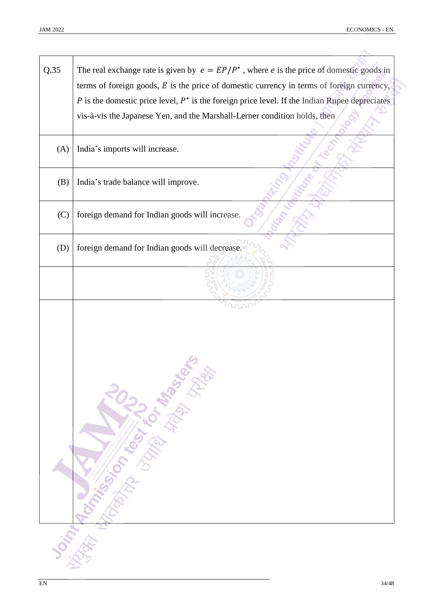| Q.35 | The real exchange rate is given by $e = EP/P^*$ , where e is the price of domestic goods in      |
|------|--------------------------------------------------------------------------------------------------|
|      | terms of foreign goods, $E$ is the price of domestic currency in terms of foreign currency,      |
|      | P is the domestic price level, $P^*$ is the foreign price level. If the Indian Rupee depreciates |
|      | vis-à-vis the Japanese Yen, and the Marshall-Lerner condition holds, then                        |
| (A)  | India's imports will increase.                                                                   |
| (B)  | India's trade balance will improve.                                                              |
| (C)  | foreign demand for Indian goods will increase.                                                   |
| (D)  | foreign demand for Indian goods will decrease.                                                   |
|      |                                                                                                  |
|      |                                                                                                  |
|      | <b>Donnan Online Strait of Magnetic Property of the Contractor</b>                               |
|      |                                                                                                  |
|      |                                                                                                  |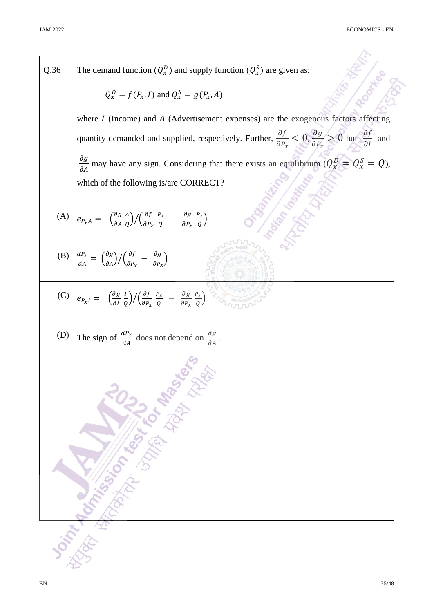| Q.36 | The demand function $(Q_x^D)$ and supply function $(Q_x^S)$ are given as:                                                                                                                                                            |
|------|--------------------------------------------------------------------------------------------------------------------------------------------------------------------------------------------------------------------------------------|
|      | $Q_x^D = f(P_x, I)$ and $Q_x^S = g(P_x, A)$                                                                                                                                                                                          |
|      | where $I$ (Income) and $A$ (Advertisement expenses) are the exogenous factors affecting                                                                                                                                              |
|      | quantity demanded and supplied, respectively. Further, $\frac{\partial f}{\partial P_x} < 0$ , $\frac{\partial g}{\partial P_y} > 0$ but $\frac{\partial f}{\partial I}$ and                                                         |
|      | $\frac{\partial g}{\partial A}$ may have any sign. Considering that there exists an equilibrium $(Q_x^D = Q_x^S = Q)$ ,                                                                                                              |
|      | which of the following is/are CORRECT?                                                                                                                                                                                               |
|      | (A) $e_{P_xA} = \left(\frac{\partial g}{\partial A} \frac{A}{Q}\right) / \left(\frac{\partial f}{\partial P_x} \frac{P_x}{Q} - \frac{\partial g}{\partial P_x} \frac{P_x}{Q}\right)$                                                 |
|      | (B) $\frac{dP_x}{dA} = \frac{\partial g}{\partial A}/\frac{\partial f}{\partial P_x} - \frac{\partial g}{\partial P_y}$                                                                                                              |
|      | (C) $e_{P_xI} = \left(\frac{\partial g}{\partial I} \frac{I}{Q}\right) / \left(\frac{\partial f}{\partial P_x} \frac{P_x}{Q} - \frac{\partial g}{\partial P_x} \frac{P_x}{Q}\right)$                                                 |
| (D)  | The sign of $\frac{dP_x}{dA}$ does not depend on $\frac{\partial g}{\partial A}$ .                                                                                                                                                   |
|      |                                                                                                                                                                                                                                      |
|      | <b>Joseph Manufacturer Communication of the Second Communication of the Communication of the Communication of the Communication of the Communication of the Communication of the Communication of the Communication of the Commu</b> |
|      |                                                                                                                                                                                                                                      |
|      |                                                                                                                                                                                                                                      |
|      |                                                                                                                                                                                                                                      |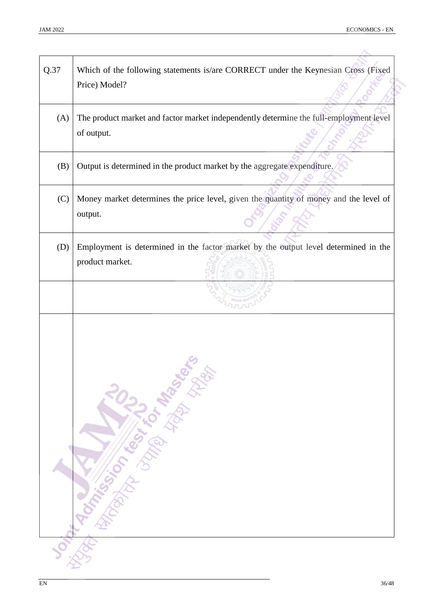| Q.37 | Which of the following statements is/are CORRECT under the Keynesian Cross (Fixed<br>Price) Model?     |
|------|--------------------------------------------------------------------------------------------------------|
| (A)  | The product market and factor market independently determine the full-employment level<br>of output.   |
| (B)  | Output is determined in the product market by the aggregate expenditure.                               |
| (C)  | Money market determines the price level, given the quantity of money and the level of<br>output.       |
| (D)  | Employment is determined in the factor market by the output level determined in the<br>product market. |
|      |                                                                                                        |
|      | <b>Ontrapidation of the Contract of Base</b> Refer                                                     |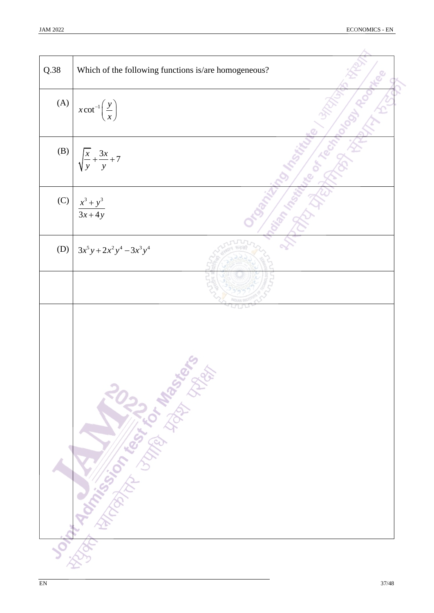| Q.38 | Which of the following functions is/are homogeneous?                                                                                                                                                                                 |
|------|--------------------------------------------------------------------------------------------------------------------------------------------------------------------------------------------------------------------------------------|
|      |                                                                                                                                                                                                                                      |
| (A)  | $x \cot^{-1} \left( \frac{y}{x} \right)$                                                                                                                                                                                             |
| (B)  | $\frac{x}{y} + \frac{3x}{y} + 7$                                                                                                                                                                                                     |
| (C)  | $\frac{x^3 + y^3}{3x + 4y}$                                                                                                                                                                                                          |
| (D)  | $3x^5y + 2x^2y^4 - 3x^3y^4$                                                                                                                                                                                                          |
|      |                                                                                                                                                                                                                                      |
|      | <b>Outrack School Assessment Property of the School Assessment Property of the Contract Property of the Contract Property of the Contract Property of the Contract Property of the Contract Property of the Contract Property of</b> |
|      |                                                                                                                                                                                                                                      |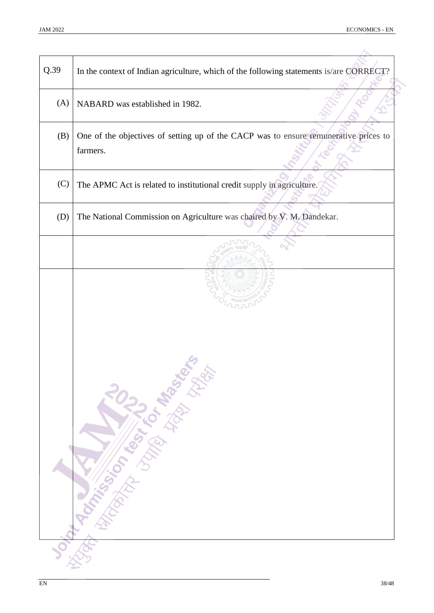| NABARD was established in 1982.<br>One of the objectives of setting up of the CACP was to ensure remunerative prices to<br>farmers.<br>The APMC Act is related to institutional credit supply in agriculture.<br>The National Commission on Agriculture was chaired by V. M. Dandekar. |
|----------------------------------------------------------------------------------------------------------------------------------------------------------------------------------------------------------------------------------------------------------------------------------------|
|                                                                                                                                                                                                                                                                                        |
|                                                                                                                                                                                                                                                                                        |
|                                                                                                                                                                                                                                                                                        |
|                                                                                                                                                                                                                                                                                        |
|                                                                                                                                                                                                                                                                                        |
| <b>Journal Miles Liver Manufacturers Rivers</b>                                                                                                                                                                                                                                        |
|                                                                                                                                                                                                                                                                                        |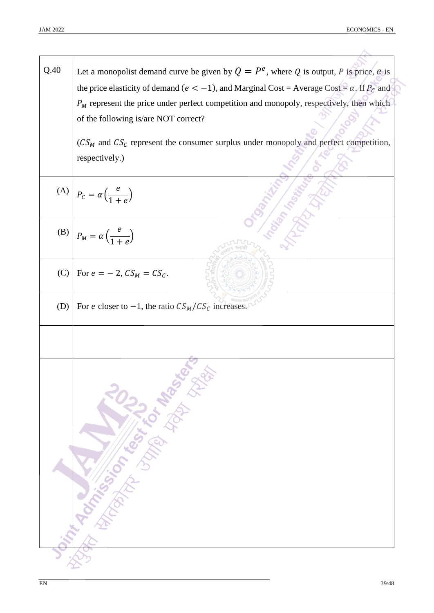A

| Let a monopolist demand curve be given by $Q = P^e$ , where Q is output, P is price, e is               |
|---------------------------------------------------------------------------------------------------------|
| the price elasticity of demand ( $e < -1$ ), and Marginal Cost = Average Cost = $\alpha$ . If $P_c$ and |
| $P_M$ represent the price under perfect competition and monopoly, respectively, then which              |
| of the following is/are NOT correct?                                                                    |
| $(CS_M$ and $CS_C$ represent the consumer surplus under monopoly and perfect competition,               |
| respectively.)                                                                                          |
|                                                                                                         |
| (A) $P_c = \alpha \left(\frac{e}{1+e}\right)$                                                           |
| (B) $P_M = \alpha \left(\frac{e}{1+e}\right)$                                                           |
| For $e = -2$ , $CS_M = CS_C$ .                                                                          |
| For e closer to $-1$ , the ratio $CS_M/CS_C$ increases.                                                 |
|                                                                                                         |
| Distribution of the Control of Manufacture                                                              |
|                                                                                                         |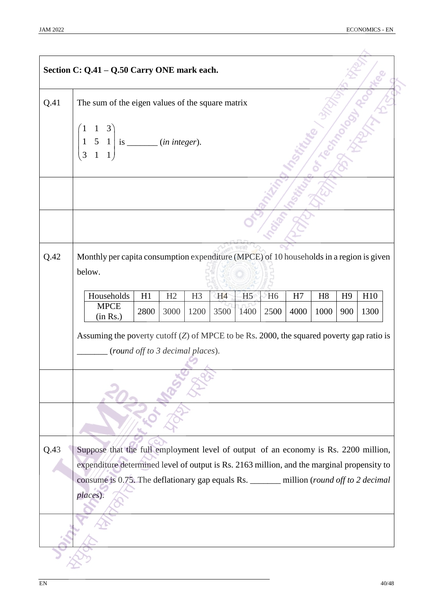|      | Section C: Q.41 - Q.50 Carry ONE mark each.                                                                                                                                                                                                                                               |                                  |      |      |      |                |                |      |      |                |      |
|------|-------------------------------------------------------------------------------------------------------------------------------------------------------------------------------------------------------------------------------------------------------------------------------------------|----------------------------------|------|------|------|----------------|----------------|------|------|----------------|------|
| Q.41 | The sum of the eigen values of the square matrix                                                                                                                                                                                                                                          |                                  |      |      |      |                |                |      |      |                |      |
|      | $\begin{array}{c c} 1 & 5 & 1 \\ 3 & 1 & 1 \end{array}$ is ________ ( <i>in integer</i> ).<br>3                                                                                                                                                                                           |                                  |      |      |      |                |                |      |      |                |      |
|      |                                                                                                                                                                                                                                                                                           |                                  |      |      |      |                |                |      |      |                |      |
|      |                                                                                                                                                                                                                                                                                           |                                  |      |      |      |                |                |      |      |                |      |
| Q.42 | Monthly per capita consumption expenditure (MPCE) of 10 households in a region is given<br>below.                                                                                                                                                                                         |                                  |      |      |      |                |                |      |      |                |      |
|      | Households                                                                                                                                                                                                                                                                                | H1                               | H2   | H3   | H4   | H <sub>5</sub> | H <sub>6</sub> | H7   | H8   | H <sub>9</sub> | H10  |
|      | <b>MPCE</b><br>(in Rs.)                                                                                                                                                                                                                                                                   | 2800                             | 3000 | 1200 | 3500 | 1400           | 2500           | 4000 | 1000 | 900            | 1300 |
|      | Assuming the poverty cutoff $(Z)$ of MPCE to be Rs. 2000, the squared poverty gap ratio is                                                                                                                                                                                                | (round off to 3 decimal places). |      |      |      |                |                |      |      |                |      |
|      |                                                                                                                                                                                                                                                                                           |                                  |      |      |      |                |                |      |      |                |      |
|      |                                                                                                                                                                                                                                                                                           |                                  |      |      |      |                |                |      |      |                |      |
| Q.43 | Suppose that the full employment level of output of an economy is Rs. 2200 million,<br>expenditure determined level of output is Rs. 2163 million, and the marginal propensity to<br>consume is 0.75. The deflationary gap equals Rs. _______ million (round off to 2 decimal<br>places). |                                  |      |      |      |                |                |      |      |                |      |
|      |                                                                                                                                                                                                                                                                                           |                                  |      |      |      |                |                |      |      |                |      |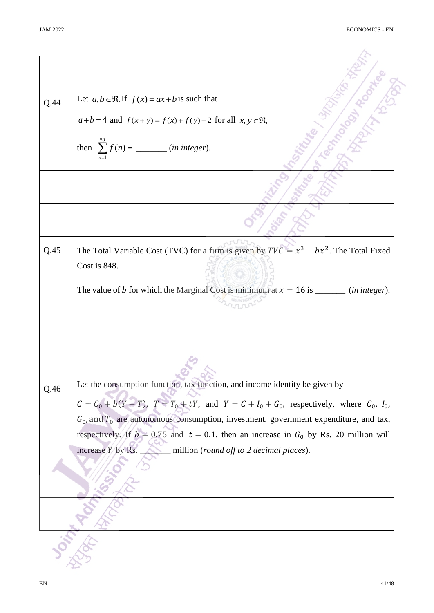| Let $a, b \in \mathbb{R}$ . If $f(x) = ax + b$ is such that<br>Q.44<br>$a+b=4$ and $f(x+y)=f(x)+f(y)-2$ for all $x, y \in \mathfrak{R}$ ,<br>then $\sum_{n=1}^{50} f(n) =$ ( <i>in integer</i> ).<br>Q.45<br>Cost is 848.<br>Let the consumption function, tax function, and income identity be given by<br>Q.46<br>$C = C_0 + b(Y - T)$ , $T = T_0 + tY$ , and $Y = C + I_0 + G_0$ , respectively, where $C_0$ , $I_0$ ,<br>$G_0$ , and $T_0$ are autonomous consumption, investment, government expenditure, and tax,<br>respectively. If $b = 0.75$ and $t = 0.1$ , then an increase in $G_0$ by Rs. 20 million will<br>increase Y by Rs.<br>$\_$ million (round off to 2 decimal places). |                                                                                            |
|-----------------------------------------------------------------------------------------------------------------------------------------------------------------------------------------------------------------------------------------------------------------------------------------------------------------------------------------------------------------------------------------------------------------------------------------------------------------------------------------------------------------------------------------------------------------------------------------------------------------------------------------------------------------------------------------------|--------------------------------------------------------------------------------------------|
|                                                                                                                                                                                                                                                                                                                                                                                                                                                                                                                                                                                                                                                                                               |                                                                                            |
|                                                                                                                                                                                                                                                                                                                                                                                                                                                                                                                                                                                                                                                                                               |                                                                                            |
|                                                                                                                                                                                                                                                                                                                                                                                                                                                                                                                                                                                                                                                                                               |                                                                                            |
|                                                                                                                                                                                                                                                                                                                                                                                                                                                                                                                                                                                                                                                                                               |                                                                                            |
|                                                                                                                                                                                                                                                                                                                                                                                                                                                                                                                                                                                                                                                                                               |                                                                                            |
|                                                                                                                                                                                                                                                                                                                                                                                                                                                                                                                                                                                                                                                                                               |                                                                                            |
|                                                                                                                                                                                                                                                                                                                                                                                                                                                                                                                                                                                                                                                                                               |                                                                                            |
|                                                                                                                                                                                                                                                                                                                                                                                                                                                                                                                                                                                                                                                                                               | The Total Variable Cost (TVC) for a firm is given by $TVC = x^3 - bx^2$ . The Total Fixed  |
|                                                                                                                                                                                                                                                                                                                                                                                                                                                                                                                                                                                                                                                                                               |                                                                                            |
|                                                                                                                                                                                                                                                                                                                                                                                                                                                                                                                                                                                                                                                                                               | The value of b for which the Marginal Cost is minimum at $x = 16$ is _______ (in integer). |
|                                                                                                                                                                                                                                                                                                                                                                                                                                                                                                                                                                                                                                                                                               |                                                                                            |
|                                                                                                                                                                                                                                                                                                                                                                                                                                                                                                                                                                                                                                                                                               |                                                                                            |
|                                                                                                                                                                                                                                                                                                                                                                                                                                                                                                                                                                                                                                                                                               |                                                                                            |
|                                                                                                                                                                                                                                                                                                                                                                                                                                                                                                                                                                                                                                                                                               |                                                                                            |
|                                                                                                                                                                                                                                                                                                                                                                                                                                                                                                                                                                                                                                                                                               |                                                                                            |
|                                                                                                                                                                                                                                                                                                                                                                                                                                                                                                                                                                                                                                                                                               |                                                                                            |
|                                                                                                                                                                                                                                                                                                                                                                                                                                                                                                                                                                                                                                                                                               |                                                                                            |
|                                                                                                                                                                                                                                                                                                                                                                                                                                                                                                                                                                                                                                                                                               |                                                                                            |
|                                                                                                                                                                                                                                                                                                                                                                                                                                                                                                                                                                                                                                                                                               |                                                                                            |
|                                                                                                                                                                                                                                                                                                                                                                                                                                                                                                                                                                                                                                                                                               |                                                                                            |
|                                                                                                                                                                                                                                                                                                                                                                                                                                                                                                                                                                                                                                                                                               |                                                                                            |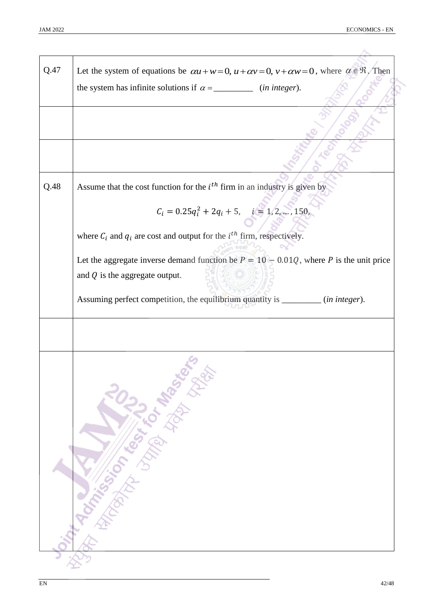| Q.47 | Let the system of equations be $\alpha u + w = 0$ , $u + \alpha v = 0$ , $v + \alpha w = 0$ , where $\alpha \in \mathbb{R}$ . Then |
|------|------------------------------------------------------------------------------------------------------------------------------------|
|      | the system has infinite solutions if $\alpha =$ _______________ (in integer).                                                      |
|      |                                                                                                                                    |
|      |                                                                                                                                    |
|      |                                                                                                                                    |
| Q.48 | Assume that the cost function for the $ith$ firm in an industry is given by                                                        |
|      | $\label{eq:12} C_i = 0.25 q_i^2 + 2q_i + 5, \quad i = 1, 2, \ldots, 150,$                                                          |
|      | where $C_i$ and $q_i$ are cost and output for the $i^{th}$ firm, respectively.                                                     |
|      | Let the aggregate inverse demand function be $P = 10 - 0.01Q$ , where P is the unit price                                          |
|      | and $Q$ is the aggregate output.                                                                                                   |
|      | Assuming perfect competition, the equilibrium quantity is _________ (in integer).                                                  |
|      |                                                                                                                                    |
|      | <b>Distribution of the Property of Manufacture</b>                                                                                 |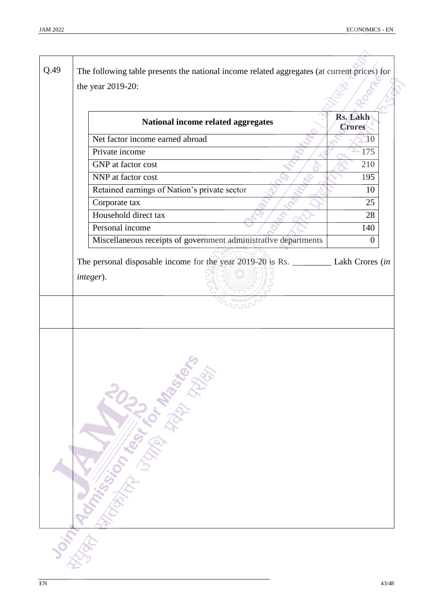| National income related aggregates                              | <b>Rs. Lakh</b><br><b>Crores</b> |
|-----------------------------------------------------------------|----------------------------------|
| Net factor income earned abroad                                 | 10                               |
| Private income                                                  | 175                              |
| GNP at factor cost                                              | 210                              |
| NNP at factor cost                                              | 195                              |
| Retained earnings of Nation's private sector                    | 10                               |
| Corporate tax                                                   | 25                               |
| Household direct tax                                            | 28                               |
| Personal income                                                 | 140                              |
| Miscellaneous receipts of government administrative departments | $\boldsymbol{0}$                 |
| integer).                                                       |                                  |
| On Trip Rock of Cash Library Rich Bare                          |                                  |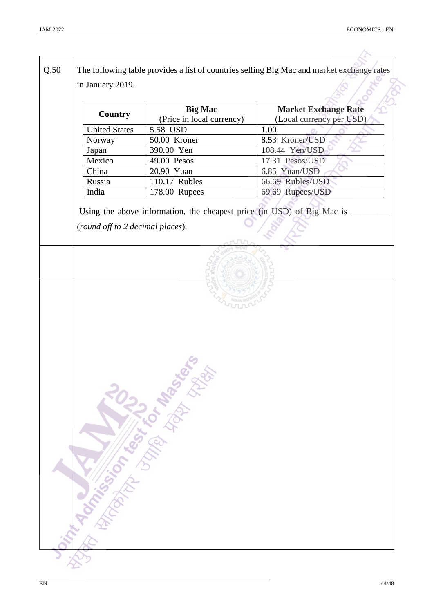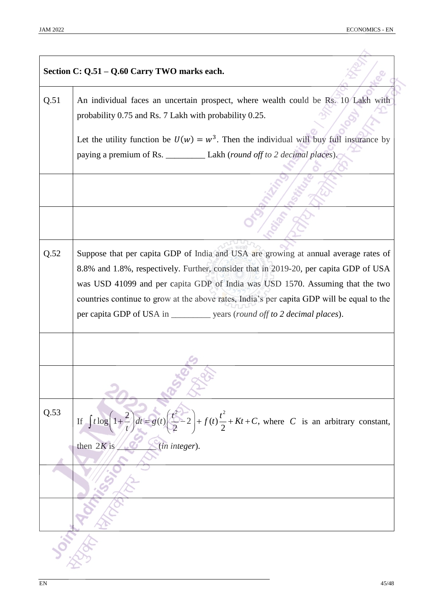|      | Section C: Q.51 - Q.60 Carry TWO marks each.                                                                                                                                 |  |
|------|------------------------------------------------------------------------------------------------------------------------------------------------------------------------------|--|
| Q.51 | An individual faces an uncertain prospect, where wealth could be Rs. 10 Lakh with<br>probability 0.75 and Rs. 7 Lakh with probability 0.25.                                  |  |
|      | Let the utility function be $U(w) = w^3$ . Then the individual will buy full insurance by                                                                                    |  |
|      | paying a premium of Rs. _____________ Lakh (round off to 2 decimal places).                                                                                                  |  |
|      |                                                                                                                                                                              |  |
|      |                                                                                                                                                                              |  |
| Q.52 | Suppose that per capita GDP of India and USA are growing at annual average rates of                                                                                          |  |
|      | 8.8% and 1.8%, respectively. Further, consider that in 2019-20, per capita GDP of USA                                                                                        |  |
|      | was USD 41099 and per capita GDP of India was USD 1570. Assuming that the two                                                                                                |  |
|      | countries continue to grow at the above rates, India's per capita GDP will be equal to the<br>per capita GDP of USA in _____________ years (round off to 2 decimal places).  |  |
|      |                                                                                                                                                                              |  |
|      |                                                                                                                                                                              |  |
| Q.53 | $\frac{2}{t}\left(dt = g(t)\left(\frac{t^2}{2} - 2\right) + f(t)\frac{t^2}{2} + Kt + C$ , where C is an arbitrary constant,<br>If $\int t \log \left(1 + \frac{2}{3}\right)$ |  |
|      | then $2K$ is<br>(in integer).                                                                                                                                                |  |
|      |                                                                                                                                                                              |  |
|      |                                                                                                                                                                              |  |
|      |                                                                                                                                                                              |  |
|      |                                                                                                                                                                              |  |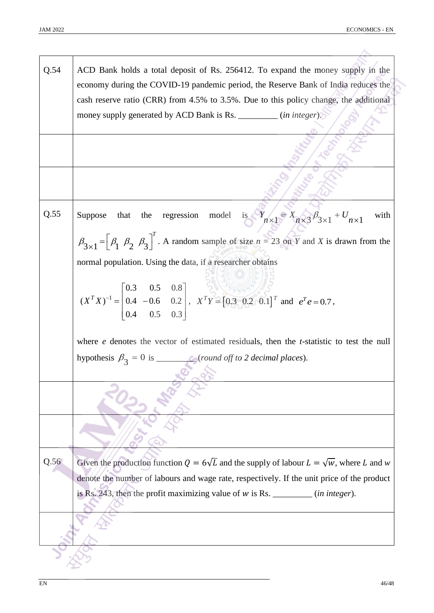| Q.54 | ACD Bank holds a total deposit of Rs. 256412. To expand the money supply in the<br>economy during the COVID-19 pandemic period, the Reserve Bank of India reduces the                 |
|------|---------------------------------------------------------------------------------------------------------------------------------------------------------------------------------------|
|      | cash reserve ratio (CRR) from 4.5% to 3.5%. Due to this policy change, the additional                                                                                                 |
|      | money supply generated by ACD Bank is Rs. _________ (in integer).                                                                                                                     |
|      |                                                                                                                                                                                       |
|      |                                                                                                                                                                                       |
| Q.55 | regression model is $Y_{n\times 1} = X_{n\times 3} \beta_{3\times 1} + U_{n\times 1}$<br>Suppose<br>that<br>the<br>with                                                               |
|      | $\beta_{3\times 1} = \left[\beta_1 \ \beta_2 \ \beta_3\right]^T$ . A random sample of size $n = 23$ on Y and X is drawn from the                                                      |
|      | normal population. Using the data, if a researcher obtains                                                                                                                            |
|      |                                                                                                                                                                                       |
|      | $(X^T X)^{-1} = \begin{bmatrix} 0.3 & 0.5 & 0.8 \\ 0.4 & -0.6 & 0.2 \\ 0.4 & 0.5 & 0.3 \end{bmatrix}$ , $X^T Y = \begin{bmatrix} 0.3 & 0.2 & 0.1 \end{bmatrix}^T$ and $e^T e = 0.7$ , |
|      |                                                                                                                                                                                       |
|      | where $e$ denotes the vector of estimated residuals, then the $t$ -statistic to test the null                                                                                         |
|      |                                                                                                                                                                                       |
|      |                                                                                                                                                                                       |
|      |                                                                                                                                                                                       |
|      |                                                                                                                                                                                       |
|      |                                                                                                                                                                                       |
| Q.56 | Given the production function $Q = 6\sqrt{L}$ and the supply of labour $L = \sqrt{w}$ , where L and w                                                                                 |
|      | denote the number of labours and wage rate, respectively. If the unit price of the product                                                                                            |
|      | is Rs. 243, then the profit maximizing value of $w$ is Rs. ________ (in integer).                                                                                                     |
|      |                                                                                                                                                                                       |
|      |                                                                                                                                                                                       |
|      |                                                                                                                                                                                       |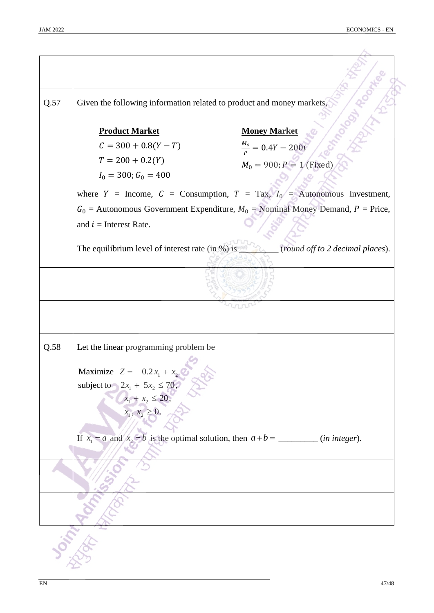